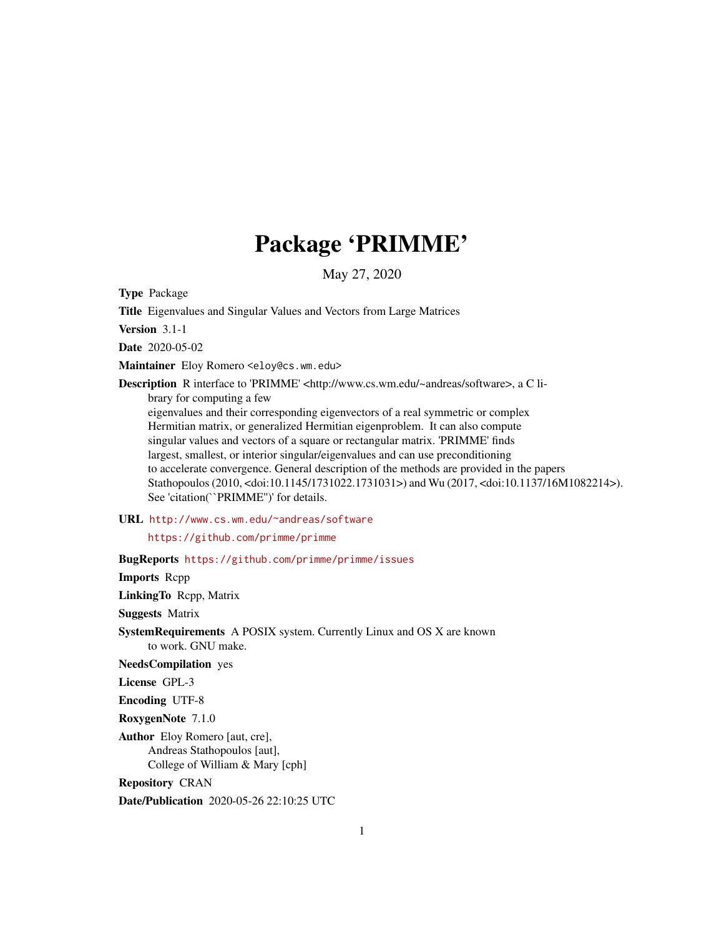## Package 'PRIMME'

May 27, 2020

<span id="page-0-0"></span>Type Package

Title Eigenvalues and Singular Values and Vectors from Large Matrices

Version 3.1-1

Date 2020-05-02

Maintainer Eloy Romero <eloy@cs.wm.edu>

Description R interface to 'PRIMME' <http://www.cs.wm.edu/~andreas/software>, a C library for computing a few eigenvalues and their corresponding eigenvectors of a real symmetric or complex Hermitian matrix, or generalized Hermitian eigenproblem. It can also compute singular values and vectors of a square or rectangular matrix. 'PRIMME' finds largest, smallest, or interior singular/eigenvalues and can use preconditioning to accelerate convergence. General description of the methods are provided in the papers Stathopoulos (2010, <doi:10.1145/1731022.1731031>) and Wu (2017, <doi:10.1137/16M1082214>). See 'citation(``PRIMME'')' for details.

#### URL <http://www.cs.wm.edu/~andreas/software>

<https://github.com/primme/primme>

BugReports <https://github.com/primme/primme/issues>

Imports Rcpp

LinkingTo Rcpp, Matrix

Suggests Matrix

SystemRequirements A POSIX system. Currently Linux and OS X are known to work. GNU make.

NeedsCompilation yes

License GPL-3

Encoding UTF-8

RoxygenNote 7.1.0

Author Eloy Romero [aut, cre], Andreas Stathopoulos [aut], College of William & Mary [cph]

Repository CRAN

Date/Publication 2020-05-26 22:10:25 UTC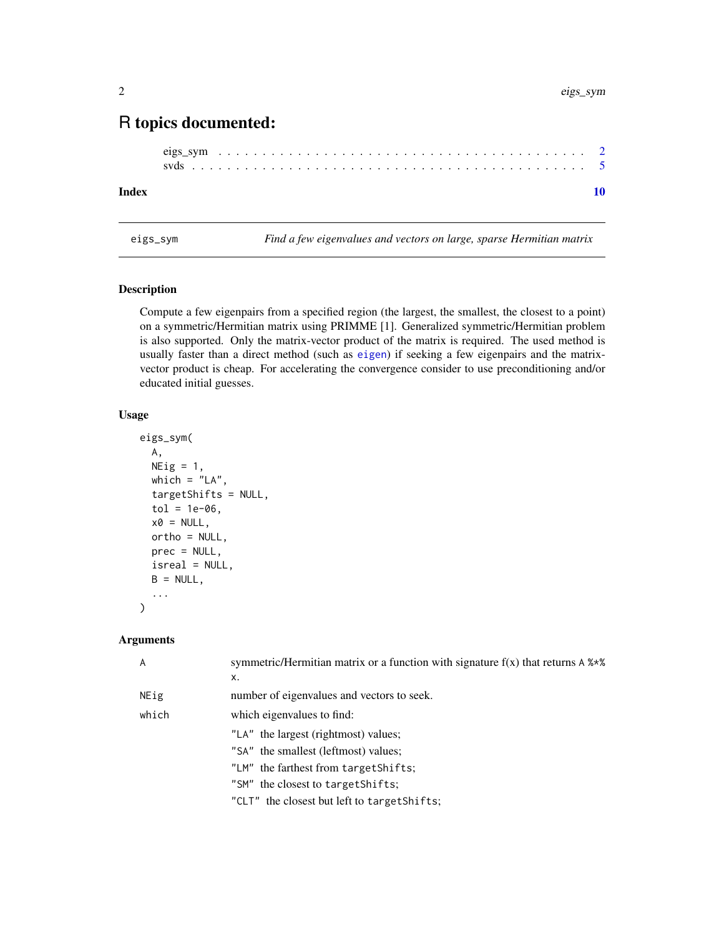### <span id="page-1-0"></span>R topics documented:

#### $\blacksquare$

<span id="page-1-1"></span>eigs\_sym *Find a few eigenvalues and vectors on large, sparse Hermitian matrix*

#### Description

Compute a few eigenpairs from a specified region (the largest, the smallest, the closest to a point) on a symmetric/Hermitian matrix using PRIMME [1]. Generalized symmetric/Hermitian problem is also supported. Only the matrix-vector product of the matrix is required. The used method is usually faster than a direct method (such as [eigen](#page-0-0)) if seeking a few eigenpairs and the matrixvector product is cheap. For accelerating the convergence consider to use preconditioning and/or educated initial guesses.

#### Usage

```
eigs_sym(
  A,
 NEig = 1,
 which = "LA",targetShifts = NULL,
  tol = 1e-06,
  x0 = NULL,ortho = NULL,
 prec = NULL,
  isreal = NULL,B = NULL,...
)
```
#### Arguments

| $\overline{A}$ | symmetric/Hermitian matrix or a function with signature $f(x)$ that returns A $\frac{8 \times 8}{8}$<br>x. |  |  |  |  |  |  |
|----------------|------------------------------------------------------------------------------------------------------------|--|--|--|--|--|--|
| NEig           | number of eigenvalues and vectors to seek.                                                                 |  |  |  |  |  |  |
| which          | which eigenvalues to find:                                                                                 |  |  |  |  |  |  |
|                | "LA" the largest (rightmost) values;                                                                       |  |  |  |  |  |  |
|                | "SA" the smallest (leftmost) values;                                                                       |  |  |  |  |  |  |
|                | "LM" the farthest from target Shifts;                                                                      |  |  |  |  |  |  |
|                | "SM" the closest to target Shifts:                                                                         |  |  |  |  |  |  |
|                | "CLT" the closest but left to target Shifts;                                                               |  |  |  |  |  |  |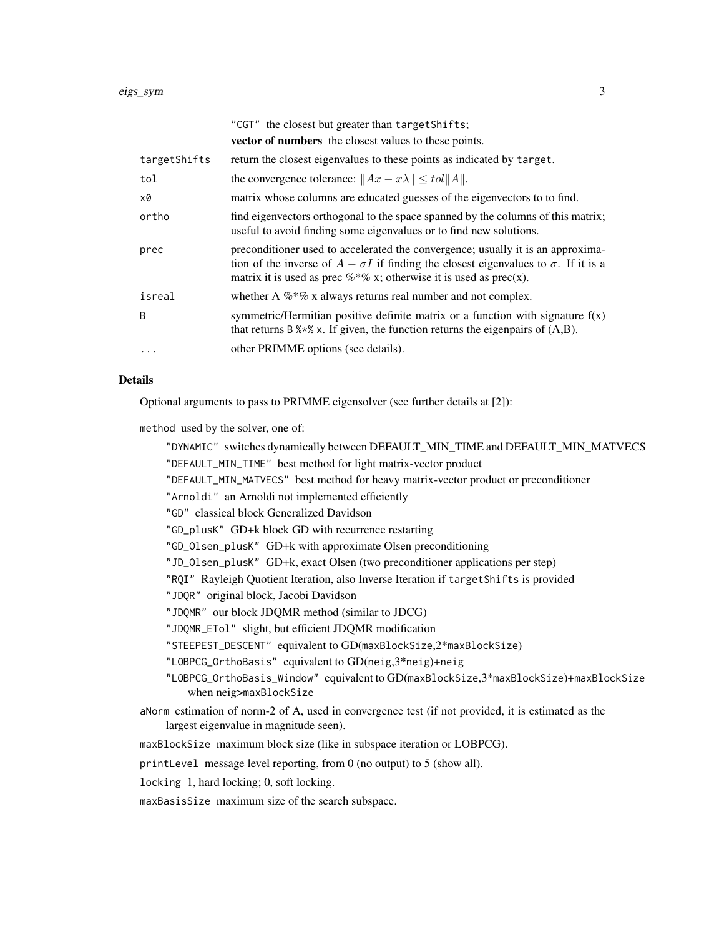|              | "CGT" the closest but greater than targetShifts;                                                                                                                                                                                                              |
|--------------|---------------------------------------------------------------------------------------------------------------------------------------------------------------------------------------------------------------------------------------------------------------|
|              | <b>vector of numbers</b> the closest values to these points.                                                                                                                                                                                                  |
| targetShifts | return the closest eigenvalues to these points as indicated by target.                                                                                                                                                                                        |
| tol          | the convergence tolerance: $  Ax - x\lambda   \leq tol   A  $ .                                                                                                                                                                                               |
| х0           | matrix whose columns are educated guesses of the eigenvectors to to find.                                                                                                                                                                                     |
| ortho        | find eigenvectors orthogonal to the space spanned by the columns of this matrix;<br>useful to avoid finding some eigenvalues or to find new solutions.                                                                                                        |
| prec         | preconditioner used to accelerated the convergence; usually it is an approxima-<br>tion of the inverse of $A - \sigma I$ if finding the closest eigenvalues to $\sigma$ . If it is a<br>matrix it is used as prec $\%*\%$ x; otherwise it is used as prec(x). |
| isreal       | whether A $\%*$ % x always returns real number and not complex.                                                                                                                                                                                               |
| B            | symmetric/Hermitian positive definite matrix or a function with signature $f(x)$<br>that returns B $\frac{1}{2}$ x. If given, the function returns the eigenpairs of $(A,B)$ .                                                                                |
| $\ddotsc$    | other PRIMME options (see details).                                                                                                                                                                                                                           |

#### Details

Optional arguments to pass to PRIMME eigensolver (see further details at [2]):

method used by the solver, one of:

"DYNAMIC" switches dynamically between DEFAULT\_MIN\_TIME and DEFAULT\_MIN\_MATVECS "DEFAULT\_MIN\_TIME" best method for light matrix-vector product "DEFAULT\_MIN\_MATVECS" best method for heavy matrix-vector product or preconditioner "Arnoldi" an Arnoldi not implemented efficiently "GD" classical block Generalized Davidson "GD\_plusK" GD+k block GD with recurrence restarting "GD\_Olsen\_plusK" GD+k with approximate Olsen preconditioning "JD\_Olsen\_plusK" GD+k, exact Olsen (two preconditioner applications per step) "RQI" Rayleigh Quotient Iteration, also Inverse Iteration if targetShifts is provided "JDQR" original block, Jacobi Davidson "JDQMR" our block JDQMR method (similar to JDCG) "JDQMR\_ETol" slight, but efficient JDQMR modification "STEEPEST\_DESCENT" equivalent to GD(maxBlockSize,2\*maxBlockSize) "LOBPCG\_OrthoBasis" equivalent to GD(neig,3\*neig)+neig "LOBPCG\_OrthoBasis\_Window" equivalent to GD(maxBlockSize,3\*maxBlockSize)+maxBlockSize when neig>maxBlockSize aNorm estimation of norm-2 of A, used in convergence test (if not provided, it is estimated as the largest eigenvalue in magnitude seen). maxBlockSize maximum block size (like in subspace iteration or LOBPCG).

printLevel message level reporting, from 0 (no output) to 5 (show all).

locking 1, hard locking; 0, soft locking.

maxBasisSize maximum size of the search subspace.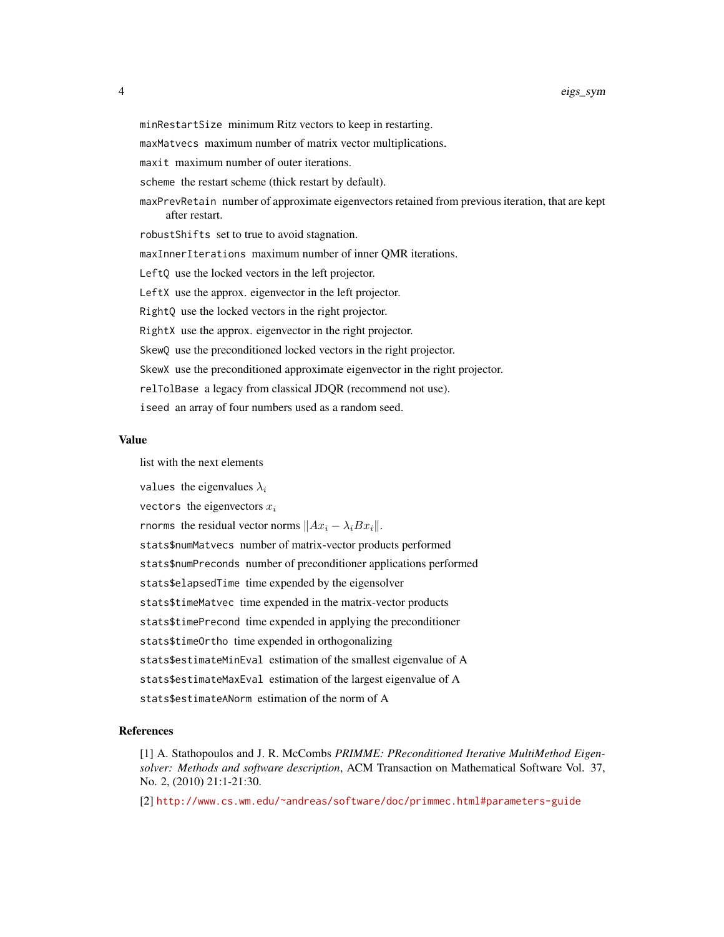minRestartSize minimum Ritz vectors to keep in restarting.

maxMatvecs maximum number of matrix vector multiplications.

maxit maximum number of outer iterations.

scheme the restart scheme (thick restart by default).

maxPrevRetain number of approximate eigenvectors retained from previous iteration, that are kept after restart.

robustShifts set to true to avoid stagnation.

maxInnerIterations maximum number of inner QMR iterations.

LeftQ use the locked vectors in the left projector.

LeftX use the approx. eigenvector in the left projector.

RightQ use the locked vectors in the right projector.

RightX use the approx. eigenvector in the right projector.

SkewQ use the preconditioned locked vectors in the right projector.

SkewX use the preconditioned approximate eigenvector in the right projector.

relTolBase a legacy from classical JDQR (recommend not use).

iseed an array of four numbers used as a random seed.

#### Value

list with the next elements

values the eigenvalues  $\lambda_i$ 

vectors the eigenvectors  $x_i$ 

rnorms the residual vector norms  $||Ax_i - \lambda_i Bx_i||$ .

stats\$numMatvecs number of matrix-vector products performed

stats\$numPreconds number of preconditioner applications performed

stats\$elapsedTime time expended by the eigensolver

stats\$timeMatvec time expended in the matrix-vector products

stats\$timePrecond time expended in applying the preconditioner

stats\$timeOrtho time expended in orthogonalizing

stats\$estimateMinEval estimation of the smallest eigenvalue of A

stats\$estimateMaxEval estimation of the largest eigenvalue of A

stats\$estimateANorm estimation of the norm of A

#### References

[1] A. Stathopoulos and J. R. McCombs *PRIMME: PReconditioned Iterative MultiMethod Eigensolver: Methods and software description*, ACM Transaction on Mathematical Software Vol. 37, No. 2, (2010) 21:1-21:30.

[2] <http://www.cs.wm.edu/~andreas/software/doc/primmec.html#parameters-guide>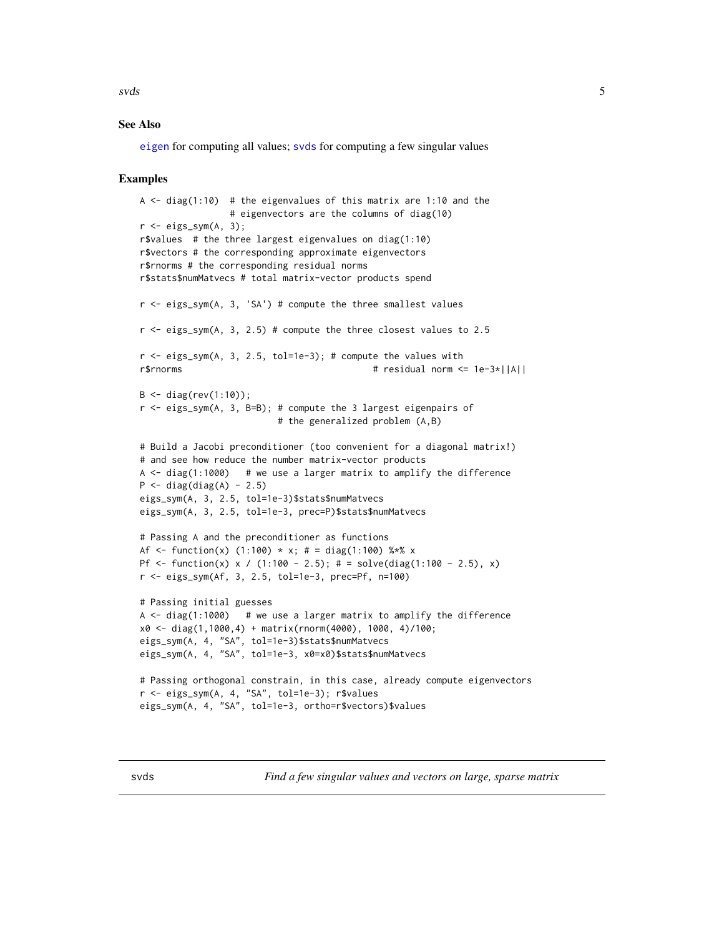<span id="page-4-0"></span> $s\nu ds$  5

#### See Also

[eigen](#page-0-0) for computing all values; [svds](#page-4-1) for computing a few singular values

#### Examples

```
A \le diag(1:10) # the eigenvalues of this matrix are 1:10 and the
                 # eigenvectors are the columns of diag(10)
r <- eigs_sym(A, 3);
r$values # the three largest eigenvalues on diag(1:10)
r$vectors # the corresponding approximate eigenvectors
r$rnorms # the corresponding residual norms
r$stats$numMatvecs # total matrix-vector products spend
r <- eigs_sym(A, 3, 'SA') # compute the three smallest values
r < - eigs_sym(A, 3, 2.5) # compute the three closest values to 2.5
r < - eigs_sym(A, 3, 2.5, tol=1e-3); # compute the values with
r$rnorms # residual norm <= 1e-3*||A||
B \le - \text{diag}(\text{rev}(1:10));r <- eigs_sym(A, 3, B=B); # compute the 3 largest eigenpairs of
                          # the generalized problem (A,B)
# Build a Jacobi preconditioner (too convenient for a diagonal matrix!)
# and see how reduce the number matrix-vector products
A \le diag(1:1000) # we use a larger matrix to amplify the difference
P \leftarrow diag(diag(A) - 2.5)eigs_sym(A, 3, 2.5, tol=1e-3)$stats$numMatvecs
eigs_sym(A, 3, 2.5, tol=1e-3, prec=P)$stats$numMatvecs
# Passing A and the preconditioner as functions
Af <- function(x) (1:100) * x; # = diag(1:100) %*% x
Pf <- function(x) x / (1:100 - 2.5); # = solve(diag(1:100 - 2.5), x)
r <- eigs_sym(Af, 3, 2.5, tol=1e-3, prec=Pf, n=100)
# Passing initial guesses
A \le diag(1:1000) # we use a larger matrix to amplify the difference
x0 <- diag(1,1000,4) + matrix(rnorm(4000), 1000, 4)/100;
eigs_sym(A, 4, "SA", tol=1e-3)$stats$numMatvecs
eigs_sym(A, 4, "SA", tol=1e-3, x0=x0)$stats$numMatvecs
# Passing orthogonal constrain, in this case, already compute eigenvectors
r <- eigs_sym(A, 4, "SA", tol=1e-3); r$values
eigs_sym(A, 4, "SA", tol=1e-3, ortho=r$vectors)$values
```
<span id="page-4-1"></span>svds *Find a few singular values and vectors on large, sparse matrix*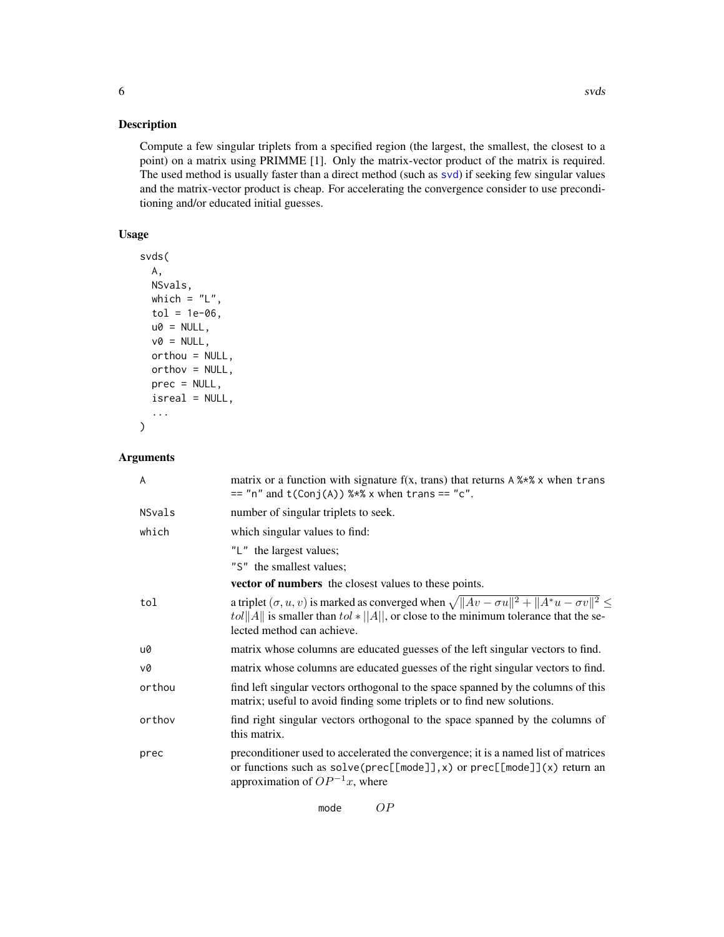#### <span id="page-5-0"></span>Description

Compute a few singular triplets from a specified region (the largest, the smallest, the closest to a point) on a matrix using PRIMME [1]. Only the matrix-vector product of the matrix is required. The used method is usually faster than a direct method (such as [svd](#page-0-0)) if seeking few singular values and the matrix-vector product is cheap. For accelerating the convergence consider to use preconditioning and/or educated initial guesses.

#### Usage

```
svds(
 A,
 NSvals,
 which = "L",tol = 1e-06,u0 = NULL,v0 = NULL,orthou = NULL,
 orthov = NULL,
 prec = NULL,
 isreal = NULL,
  ...
)
```
#### Arguments

| A      | matrix or a function with signature $f(x, trans)$ that returns A $\frac{1}{2}$ when trans<br>$==$ "n" and t(Conj(A)) %*% x when trans == "c".                                                                                           |  |  |  |  |  |  |  |  |
|--------|-----------------------------------------------------------------------------------------------------------------------------------------------------------------------------------------------------------------------------------------|--|--|--|--|--|--|--|--|
| NSvals | number of singular triplets to seek.                                                                                                                                                                                                    |  |  |  |  |  |  |  |  |
| which  | which singular values to find:                                                                                                                                                                                                          |  |  |  |  |  |  |  |  |
|        | "L" the largest values;                                                                                                                                                                                                                 |  |  |  |  |  |  |  |  |
|        | "S" the smallest values;                                                                                                                                                                                                                |  |  |  |  |  |  |  |  |
|        | vector of numbers the closest values to these points.                                                                                                                                                                                   |  |  |  |  |  |  |  |  |
| tol    | a triplet $(\sigma, u, v)$ is marked as converged when $\sqrt{  Av - \sigma u  ^2 +   A^*u - \sigma v  ^2} \le$<br>tol  A   is smaller than tol $*$   A  , or close to the minimum tolerance that the se-<br>lected method can achieve. |  |  |  |  |  |  |  |  |
| u0     | matrix whose columns are educated guesses of the left singular vectors to find.                                                                                                                                                         |  |  |  |  |  |  |  |  |
| v0     | matrix whose columns are educated guesses of the right singular vectors to find.                                                                                                                                                        |  |  |  |  |  |  |  |  |
| orthou | find left singular vectors orthogonal to the space spanned by the columns of this<br>matrix; useful to avoid finding some triplets or to find new solutions.                                                                            |  |  |  |  |  |  |  |  |
| orthov | find right singular vectors orthogonal to the space spanned by the columns of<br>this matrix.                                                                                                                                           |  |  |  |  |  |  |  |  |
| prec   | preconditioner used to accelerated the convergence; it is a named list of matrices<br>or functions such as $solve(prec[[\text{mode}]], x)$ or $prec[[\text{mode}]](x)$ return an<br>approximation of $OP^{-1}x$ , where                 |  |  |  |  |  |  |  |  |

mode OP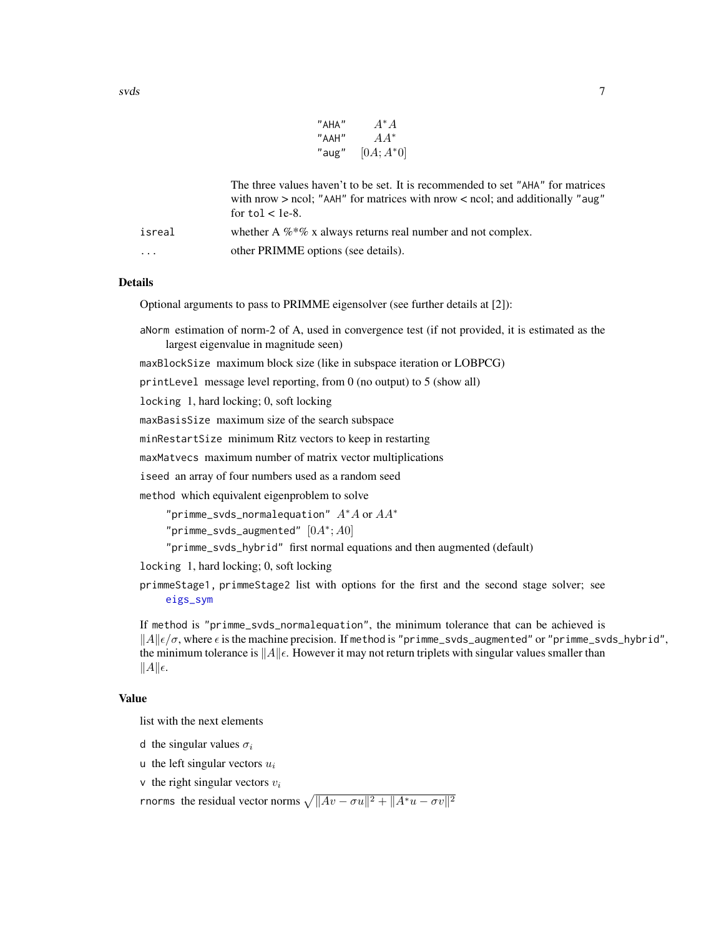| "AHA" | $A^* A$      |
|-------|--------------|
| "AAH" | $AA^*$       |
| "aug" | $[0A; A^*0]$ |

<span id="page-6-0"></span>

|                         | The three values haven't to be set. It is recommended to set "AHA" for matrices<br>with nrow $>$ ncol; "AAH" for matrices with nrow $<$ ncol; and additionally "aug"<br>for $tol <$ 1e-8. |
|-------------------------|-------------------------------------------------------------------------------------------------------------------------------------------------------------------------------------------|
| isreal                  | whether A $\%$ *% x always returns real number and not complex.                                                                                                                           |
| $\cdot$ $\cdot$ $\cdot$ | other PRIMME options (see details).                                                                                                                                                       |

#### Details

Optional arguments to pass to PRIMME eigensolver (see further details at [2]):

aNorm estimation of norm-2 of A, used in convergence test (if not provided, it is estimated as the largest eigenvalue in magnitude seen)

maxBlockSize maximum block size (like in subspace iteration or LOBPCG)

printLevel message level reporting, from 0 (no output) to 5 (show all)

locking 1, hard locking; 0, soft locking

maxBasisSize maximum size of the search subspace

minRestartSize minimum Ritz vectors to keep in restarting

maxMatvecs maximum number of matrix vector multiplications

iseed an array of four numbers used as a random seed

method which equivalent eigenproblem to solve

"primme\_svds\_normalequation"  $A^*A$  or  $AA^*$ 

"primme\_svds\_augmented"  $[0A^*; A0]$ 

"primme\_svds\_hybrid" first normal equations and then augmented (default)

locking 1, hard locking; 0, soft locking

primmeStage1, primmeStage2 list with options for the first and the second stage solver; see [eigs\\_sym](#page-1-1)

If method is "primme\_svds\_normalequation", the minimum tolerance that can be achieved is  $||A||\epsilon/\sigma$ , where  $\epsilon$  is the machine precision. If method is "primme\_svds\_augmented" or "primme\_svds\_hybrid", the minimum tolerance is  $||A||\epsilon$ . However it may not return triplets with singular values smaller than  $||A||\epsilon.$ 

#### Value

list with the next elements

d the singular values  $\sigma_i$ 

u the left singular vectors  $u_i$ 

v the right singular vectors  $v_i$ 

rnorms the residual vector norms  $\sqrt{||Av - \sigma u||^2 + ||A^*u - \sigma v||^2}$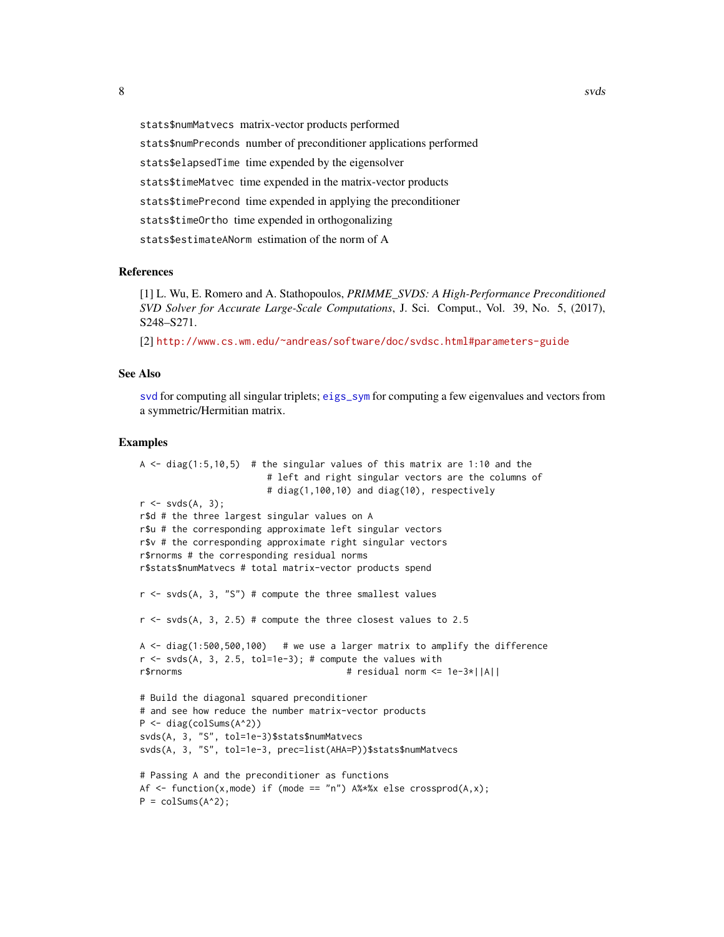<span id="page-7-0"></span>stats\$numMatvecs matrix-vector products performed stats\$numPreconds number of preconditioner applications performed stats\$elapsedTime time expended by the eigensolver stats\$timeMatvec time expended in the matrix-vector products stats\$timePrecond time expended in applying the preconditioner stats\$timeOrtho time expended in orthogonalizing stats\$estimateANorm estimation of the norm of A

#### References

[1] L. Wu, E. Romero and A. Stathopoulos, *PRIMME\_SVDS: A High-Performance Preconditioned SVD Solver for Accurate Large-Scale Computations*, J. Sci. Comput., Vol. 39, No. 5, (2017), S248–S271.

[2] <http://www.cs.wm.edu/~andreas/software/doc/svdsc.html#parameters-guide>

#### See Also

[svd](#page-0-0) for computing all singular triplets; [eigs\\_sym](#page-1-1) for computing a few eigenvalues and vectors from a symmetric/Hermitian matrix.

#### Examples

```
A \le - diag(1:5,10,5) # the singular values of this matrix are 1:10 and the
                       # left and right singular vectors are the columns of
                       # diag(1,100,10) and diag(10), respectively
r \leftarrow \text{svds}(A, 3);r$d # the three largest singular values on A
r$u # the corresponding approximate left singular vectors
r$v # the corresponding approximate right singular vectors
r$rnorms # the corresponding residual norms
r$stats$numMatvecs # total matrix-vector products spend
r \leq -s svds(A, 3, "S") # compute the three smallest values
r <- svds(A, 3, 2.5) # compute the three closest values to 2.5
A \le diag(1:500,500,100) # we use a larger matrix to amplify the difference
r < -s vds(A, 3, 2.5, tol=1e-3); # compute the values with
r$rnorms # residual norm <= 1e-3*||A||
# Build the diagonal squared preconditioner
# and see how reduce the number matrix-vector products
P <- diag(colSums(A^2))
svds(A, 3, "S", tol=1e-3)$stats$numMatvecs
svds(A, 3, "S", tol=1e-3, prec=list(AHA=P))$stats$numMatvecs
# Passing A and the preconditioner as functions
Af \le function(x,mode) if (mode == "n") A%*%x else crossprod(A,x);
P = colSums(A^2);
```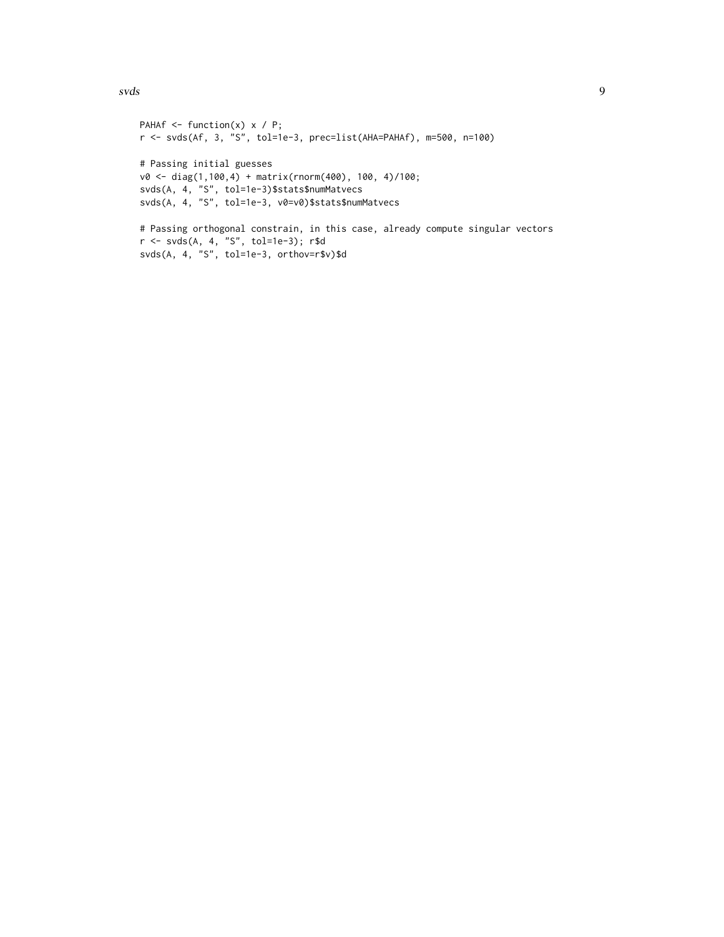svds 9

```
PAHAf \leq function(x) x / P;
r <- svds(Af, 3, "S", tol=1e-3, prec=list(AHA=PAHAf), m=500, n=100)
# Passing initial guesses
v0 <- diag(1,100,4) + matrix(rnorm(400), 100, 4)/100;
svds(A, 4, "S", tol=1e-3)$stats$numMatvecs
svds(A, 4, "S", tol=1e-3, v0=v0)$stats$numMatvecs
# Passing orthogonal constrain, in this case, already compute singular vectors
r <- svds(A, 4, "S", tol=1e-3); r$d
svds(A, 4, "S", tol=1e-3, orthov=r$v)$d
```